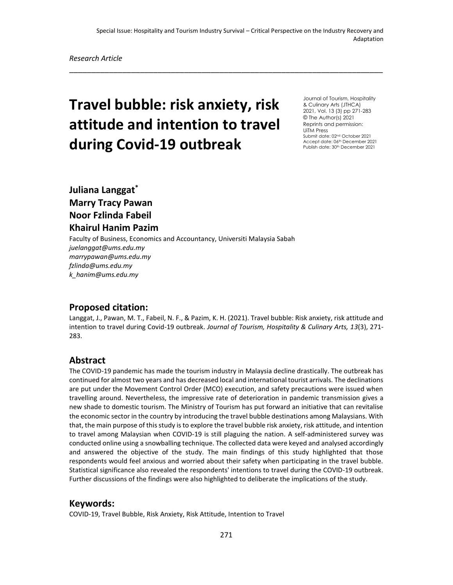\_\_\_\_\_\_\_\_\_\_\_\_\_\_\_\_\_\_\_\_\_\_\_\_\_\_\_\_\_\_\_\_\_\_\_\_\_\_\_\_\_\_\_\_\_\_\_\_\_\_\_\_\_\_\_\_\_\_\_\_\_\_\_\_\_\_\_\_\_\_\_

# **Travel bubble: risk anxiety, risk attitude and intention to travel during Covid-19 outbreak**

Journal of Tourism, Hospitality & Culinary Arts (JTHCA) 2021, Vol. 13 (3) pp 271-283 © The Author(s) 2021 Reprints and permission: UiTM Press Submit date: 02nd October 2021 Accept date: 06th December 2021 Publish date: 30<sup>th</sup> December 2021

# **Juliana Langgat\* Marry Tracy Pawan Noor Fzlinda Fabeil Khairul Hanim Pazim**

Faculty of Business, Economics and Accountancy, Universiti Malaysia Sabah *juelanggat@ums.edu.my marrypawan@ums.edu.my fzlinda@ums.edu.my k\_hanim@ums.edu.my*

### **Proposed citation:**

Langgat, J., Pawan, M. T., Fabeil, N. F., & Pazim, K. H. (2021). Travel bubble: Risk anxiety, risk attitude and intention to travel during Covid-19 outbreak. *Journal of Tourism, Hospitality & Culinary Arts, 13*(3), 271- 283.

#### **Abstract**

The COVID-19 pandemic has made the tourism industry in Malaysia decline drastically. The outbreak has continued for almost two years and has decreased local and international tourist arrivals. The declinations are put under the Movement Control Order (MCO) execution, and safety precautions were issued when travelling around. Nevertheless, the impressive rate of deterioration in pandemic transmission gives a new shade to domestic tourism. The Ministry of Tourism has put forward an initiative that can revitalise the economic sector in the country by introducing the travel bubble destinations among Malaysians. With that, the main purpose of this study is to explore the travel bubble risk anxiety, risk attitude, and intention to travel among Malaysian when COVID-19 is still plaguing the nation. A self-administered survey was conducted online using a snowballing technique. The collected data were keyed and analysed accordingly and answered the objective of the study. The main findings of this study highlighted that those respondents would feel anxious and worried about their safety when participating in the travel bubble. Statistical significance also revealed the respondents' intentions to travel during the COVID-19 outbreak. Further discussions of the findings were also highlighted to deliberate the implications of the study.

#### **Keywords:**

COVID-19, Travel Bubble, Risk Anxiety, Risk Attitude, Intention to Travel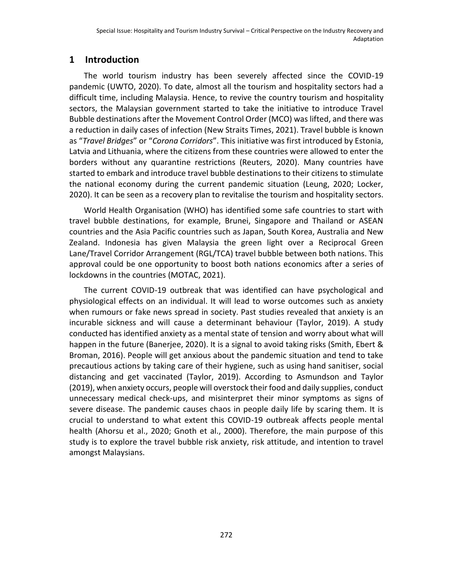## **1 Introduction**

The world tourism industry has been severely affected since the COVID-19 pandemic (UWTO, 2020). To date, almost all the tourism and hospitality sectors had a difficult time, including Malaysia. Hence, to revive the country tourism and hospitality sectors, the Malaysian government started to take the initiative to introduce Travel Bubble destinations after the Movement Control Order (MCO) was lifted, and there was a reduction in daily cases of infection (New Straits Times, 2021). Travel bubble is known as "*Travel Bridges*" or "*Corona Corridors*". This initiative was first introduced by Estonia, Latvia and Lithuania, where the citizens from these countries were allowed to enter the borders without any quarantine restrictions (Reuters, 2020). Many countries have started to embark and introduce travel bubble destinations to their citizens to stimulate the national economy during the current pandemic situation (Leung, 2020; Locker, 2020). It can be seen as a recovery plan to revitalise the tourism and hospitality sectors.

World Health Organisation (WHO) has identified some safe countries to start with travel bubble destinations, for example, Brunei, Singapore and Thailand or ASEAN countries and the Asia Pacific countries such as Japan, South Korea, Australia and New Zealand. Indonesia has given Malaysia the green light over a Reciprocal Green Lane/Travel Corridor Arrangement (RGL/TCA) travel bubble between both nations. This approval could be one opportunity to boost both nations economics after a series of lockdowns in the countries (MOTAC, 2021).

The current COVID-19 outbreak that was identified can have psychological and physiological effects on an individual. It will lead to worse outcomes such as anxiety when rumours or fake news spread in society. Past studies revealed that anxiety is an incurable sickness and will cause a determinant behaviour (Taylor, 2019). A study conducted has identified anxiety as a mental state of tension and worry about what will happen in the future (Banerjee, 2020). It is a signal to avoid taking risks (Smith, Ebert & Broman, 2016). People will get anxious about the pandemic situation and tend to take precautious actions by taking care of their hygiene, such as using hand sanitiser, social distancing and get vaccinated (Taylor, 2019). According to Asmundson and Taylor (2019), when anxiety occurs, people will overstock their food and daily supplies, conduct unnecessary medical check-ups, and misinterpret their minor symptoms as signs of severe disease. The pandemic causes chaos in people daily life by scaring them. It is crucial to understand to what extent this COVID-19 outbreak affects people mental health (Ahorsu et al., 2020; Gnoth et al., 2000). Therefore, the main purpose of this study is to explore the travel bubble risk anxiety, risk attitude, and intention to travel amongst Malaysians.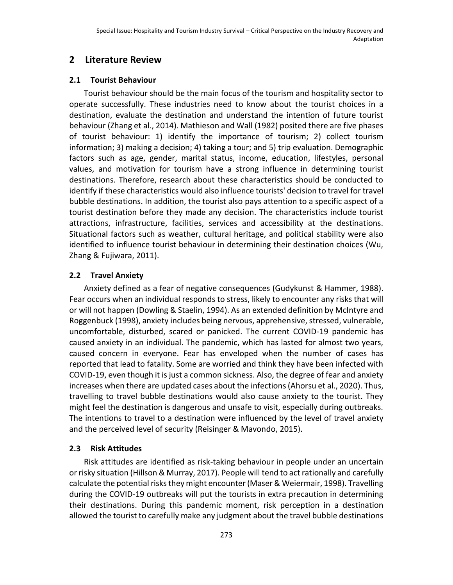## **2 Literature Review**

#### **2.1 Tourist Behaviour**

Tourist behaviour should be the main focus of the tourism and hospitality sector to operate successfully. These industries need to know about the tourist choices in a destination, evaluate the destination and understand the intention of future tourist behaviour (Zhang et al., 2014). Mathieson and Wall (1982) posited there are five phases of tourist behaviour: 1) identify the importance of tourism; 2) collect tourism information; 3) making a decision; 4) taking a tour; and 5) trip evaluation. Demographic factors such as age, gender, marital status, income, education, lifestyles, personal values, and motivation for tourism have a strong influence in determining tourist destinations. Therefore, research about these characteristics should be conducted to identify if these characteristics would also influence tourists' decision to travel for travel bubble destinations. In addition, the tourist also pays attention to a specific aspect of a tourist destination before they made any decision. The characteristics include tourist attractions, infrastructure, facilities, services and accessibility at the destinations. Situational factors such as weather, cultural heritage, and political stability were also identified to influence tourist behaviour in determining their destination choices (Wu, Zhang & Fujiwara, 2011).

#### **2.2 Travel Anxiety**

Anxiety defined as a fear of negative consequences (Gudykunst & Hammer, 1988). Fear occurs when an individual responds to stress, likely to encounter any risks that will or will not happen (Dowling & Staelin, 1994). As an extended definition by McIntyre and Roggenbuck (1998), anxiety includes being nervous, apprehensive, stressed, vulnerable, uncomfortable, disturbed, scared or panicked. The current COVID-19 pandemic has caused anxiety in an individual. The pandemic, which has lasted for almost two years, caused concern in everyone. Fear has enveloped when the number of cases has reported that lead to fatality. Some are worried and think they have been infected with COVID-19, even though it is just a common sickness. Also, the degree of fear and anxiety increases when there are updated cases about the infections (Ahorsu et al., 2020). Thus, travelling to travel bubble destinations would also cause anxiety to the tourist. They might feel the destination is dangerous and unsafe to visit, especially during outbreaks. The intentions to travel to a destination were influenced by the level of travel anxiety and the perceived level of security (Reisinger & Mavondo, 2015).

#### **2.3 Risk Attitudes**

Risk attitudes are identified as risk-taking behaviour in people under an uncertain or risky situation (Hillson & Murray, 2017). People will tend to act rationally and carefully calculate the potential risks they might encounter (Maser & Weiermair, 1998). Travelling during the COVID-19 outbreaks will put the tourists in extra precaution in determining their destinations. During this pandemic moment, risk perception in a destination allowed the tourist to carefully make any judgment about the travel bubble destinations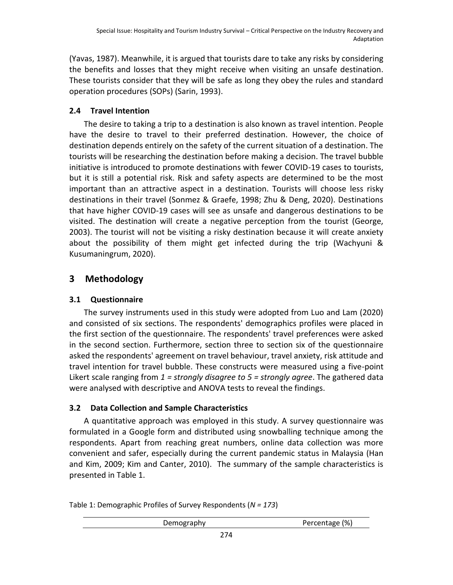(Yavas, 1987). Meanwhile, it is argued that tourists dare to take any risks by considering the benefits and losses that they might receive when visiting an unsafe destination. These tourists consider that they will be safe as long they obey the rules and standard operation procedures (SOPs) (Sarin, 1993).

#### **2.4 Travel Intention**

The desire to taking a trip to a destination is also known as travel intention. People have the desire to travel to their preferred destination. However, the choice of destination depends entirely on the safety of the current situation of a destination. The tourists will be researching the destination before making a decision. The travel bubble initiative is introduced to promote destinations with fewer COVID-19 cases to tourists, but it is still a potential risk. Risk and safety aspects are determined to be the most important than an attractive aspect in a destination. Tourists will choose less risky destinations in their travel (Sonmez & Graefe, 1998; Zhu & Deng, 2020). Destinations that have higher COVID-19 cases will see as unsafe and dangerous destinations to be visited. The destination will create a negative perception from the tourist (George, 2003). The tourist will not be visiting a risky destination because it will create anxiety about the possibility of them might get infected during the trip (Wachyuni & Kusumaningrum, 2020).

## **3 Methodology**

### **3.1 Questionnaire**

The survey instruments used in this study were adopted from Luo and Lam (2020) and consisted of six sections. The respondents' demographics profiles were placed in the first section of the questionnaire. The respondents' travel preferences were asked in the second section. Furthermore, section three to section six of the questionnaire asked the respondents' agreement on travel behaviour, travel anxiety, risk attitude and travel intention for travel bubble. These constructs were measured using a five-point Likert scale ranging from *1 = strongly disagree to 5 = strongly agree*. The gathered data were analysed with descriptive and ANOVA tests to reveal the findings.

### **3.2 Data Collection and Sample Characteristics**

A quantitative approach was employed in this study. A survey questionnaire was formulated in a Google form and distributed using snowballing technique among the respondents. Apart from reaching great numbers, online data collection was more convenient and safer, especially during the current pandemic status in Malaysia (Han and Kim, 2009; Kim and Canter, 2010). The summary of the sample characteristics is presented in Table 1.

Table 1: Demographic Profiles of Survey Respondents (*N = 173*)

| <b>D</b> – – – – –<br>ىرر<br>---- | (% )<br>ao A |
|-----------------------------------|--------------|
|-----------------------------------|--------------|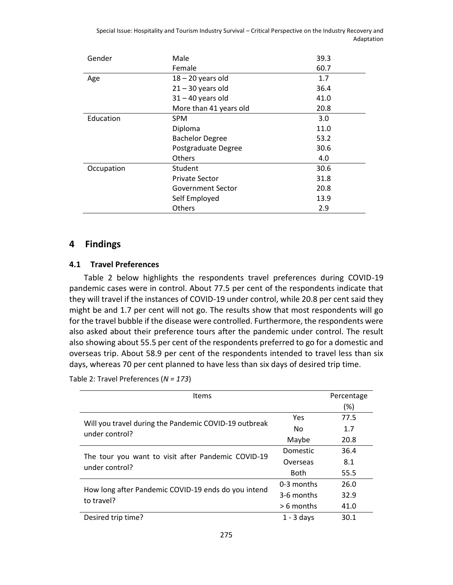Special Issue: Hospitality and Tourism Industry Survival – Critical Perspective on the Industry Recovery and Adaptation

| Gender     | Male                   | 39.3 |
|------------|------------------------|------|
|            | Female                 | 60.7 |
| Age        | $18 - 20$ years old    | 1.7  |
|            | $21 - 30$ years old    | 36.4 |
|            | $31 - 40$ years old    | 41.0 |
|            | More than 41 years old | 20.8 |
| Education  | <b>SPM</b>             | 3.0  |
|            | Diploma                | 11.0 |
|            | <b>Bachelor Degree</b> | 53.2 |
|            | Postgraduate Degree    | 30.6 |
|            | <b>Others</b>          | 4.0  |
| Occupation | Student                | 30.6 |
|            | <b>Private Sector</b>  | 31.8 |
|            | Government Sector      | 20.8 |
|            | Self Employed          | 13.9 |
|            | Others                 | 2.9  |

#### **4 Findings**

#### **4.1 Travel Preferences**

Table 2 below highlights the respondents travel preferences during COVID-19 pandemic cases were in control. About 77.5 per cent of the respondents indicate that they will travel if the instances of COVID-19 under control, while 20.8 per cent said they might be and 1.7 per cent will not go. The results show that most respondents will go for the travel bubble if the disease were controlled. Furthermore, the respondents were also asked about their preference tours after the pandemic under control. The result also showing about 55.5 per cent of the respondents preferred to go for a domestic and overseas trip. About 58.9 per cent of the respondents intended to travel less than six days, whereas 70 per cent planned to have less than six days of desired trip time.

Table 2: Travel Preferences (*N = 173*)

| <b>Items</b>                                                            | Percentage   |      |
|-------------------------------------------------------------------------|--------------|------|
|                                                                         |              | (%)  |
|                                                                         | Yes          | 77.5 |
| Will you travel during the Pandemic COVID-19 outbreak<br>under control? | No.          | 1.7  |
|                                                                         | Maybe        | 20.8 |
|                                                                         | Domestic     | 36.4 |
| The tour you want to visit after Pandemic COVID-19<br>under control?    | Overseas     | 8.1  |
|                                                                         | <b>Both</b>  | 55.5 |
|                                                                         | 0-3 months   | 26.0 |
| How long after Pandemic COVID-19 ends do you intend                     | 3-6 months   | 32.9 |
| to travel?                                                              | $> 6$ months | 41.0 |
| Desired trip time?                                                      | $1 - 3$ days | 30.1 |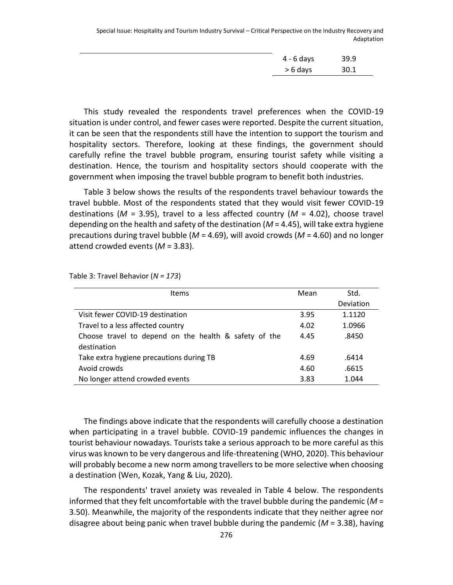Special Issue: Hospitality and Tourism Industry Survival – Critical Perspective on the Industry Recovery and Adaptation

| 4 - 6 days | 39.9 |
|------------|------|
| > 6 days   | 30.1 |

This study revealed the respondents travel preferences when the COVID-19 situation is under control, and fewer cases were reported. Despite the current situation, it can be seen that the respondents still have the intention to support the tourism and hospitality sectors. Therefore, looking at these findings, the government should carefully refine the travel bubble program, ensuring tourist safety while visiting a destination. Hence, the tourism and hospitality sectors should cooperate with the government when imposing the travel bubble program to benefit both industries.

Table 3 below shows the results of the respondents travel behaviour towards the travel bubble. Most of the respondents stated that they would visit fewer COVID-19 destinations ( $M = 3.95$ ), travel to a less affected country ( $M = 4.02$ ), choose travel depending on the health and safety of the destination (*M* = 4.45), will take extra hygiene precautions during travel bubble (*M* = 4.69), will avoid crowds (*M* = 4.60) and no longer attend crowded events (*M* = 3.83).

Table 3: Travel Behavior (*N = 173*)

| <b>Items</b>                                          | Mean | Std.      |
|-------------------------------------------------------|------|-----------|
|                                                       |      | Deviation |
| Visit fewer COVID-19 destination                      | 3.95 | 1.1120    |
| Travel to a less affected country                     | 4.02 | 1.0966    |
| Choose travel to depend on the health & safety of the | 4.45 | .8450     |
| destination                                           |      |           |
| Take extra hygiene precautions during TB              | 4.69 | .6414     |
| Avoid crowds                                          | 4.60 | .6615     |
| No longer attend crowded events                       | 3.83 | 1.044     |

The findings above indicate that the respondents will carefully choose a destination when participating in a travel bubble. COVID-19 pandemic influences the changes in tourist behaviour nowadays. Tourists take a serious approach to be more careful as this virus was known to be very dangerous and life-threatening (WHO, 2020). This behaviour will probably become a new norm among travellers to be more selective when choosing a destination (Wen, Kozak, Yang & Liu, 2020).

The respondents' travel anxiety was revealed in Table 4 below. The respondents informed that they felt uncomfortable with the travel bubble during the pandemic (*M* = 3.50). Meanwhile, the majority of the respondents indicate that they neither agree nor disagree about being panic when travel bubble during the pandemic  $(M = 3.38)$ , having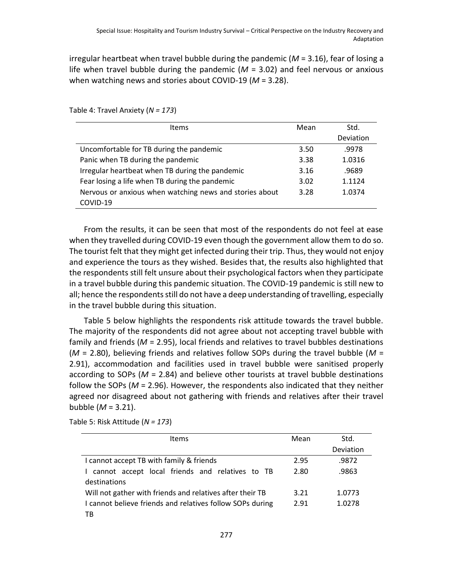irregular heartbeat when travel bubble during the pandemic (*M* = 3.16), fear of losing a life when travel bubble during the pandemic (*M* = 3.02) and feel nervous or anxious when watching news and stories about COVID-19 (*M* = 3.28).

Table 4: Travel Anxiety (*N = 173*)

| <b>Items</b>                                            |      | Std.      |
|---------------------------------------------------------|------|-----------|
|                                                         |      | Deviation |
| Uncomfortable for TB during the pandemic                | 3.50 | .9978     |
| Panic when TB during the pandemic                       | 3.38 | 1.0316    |
| Irregular heartbeat when TB during the pandemic         | 3.16 | .9689     |
| Fear losing a life when TB during the pandemic          | 3.02 | 1.1124    |
| Nervous or anxious when watching news and stories about | 3.28 | 1.0374    |
| COVID-19                                                |      |           |

From the results, it can be seen that most of the respondents do not feel at ease when they travelled during COVID-19 even though the government allow them to do so. The tourist felt that they might get infected during their trip. Thus, they would not enjoy and experience the tours as they wished. Besides that, the results also highlighted that the respondents still felt unsure about their psychological factors when they participate in a travel bubble during this pandemic situation. The COVID-19 pandemic is still new to all; hence the respondents still do not have a deep understanding of travelling, especially in the travel bubble during this situation.

Table 5 below highlights the respondents risk attitude towards the travel bubble. The majority of the respondents did not agree about not accepting travel bubble with family and friends (*M* = 2.95), local friends and relatives to travel bubbles destinations (*M* = 2.80), believing friends and relatives follow SOPs during the travel bubble (*M* = 2.91), accommodation and facilities used in travel bubble were sanitised properly according to SOPs (*M* = 2.84) and believe other tourists at travel bubble destinations follow the SOPs (*M* = 2.96). However, the respondents also indicated that they neither agreed nor disagreed about not gathering with friends and relatives after their travel bubble (*M* = 3.21).

| <b>Items</b>                                              | Mean | Std.      |
|-----------------------------------------------------------|------|-----------|
|                                                           |      | Deviation |
| I cannot accept TB with family & friends                  | 2.95 | .9872     |
| I cannot accept local friends and relatives to TB         | 2.80 | .9863     |
| destinations                                              |      |           |
| Will not gather with friends and relatives after their TB | 3.21 | 1.0773    |
| I cannot believe friends and relatives follow SOPs during | 2.91 | 1.0278    |
| ТB                                                        |      |           |

Table 5: Risk Attitude (*N = 173*)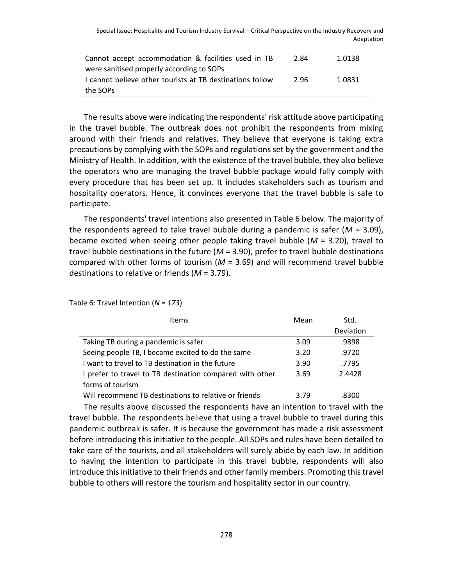| Cannot accept accommodation & facilities used in TB       | 2.84 | 1.0138 |
|-----------------------------------------------------------|------|--------|
| were sanitised properly according to SOPs                 |      |        |
| I cannot believe other tourists at TB destinations follow | 2.96 | 1.0831 |
| the SOPs                                                  |      |        |

The results above were indicating the respondents' risk attitude above participating in the travel bubble. The outbreak does not prohibit the respondents from mixing around with their friends and relatives. They believe that everyone is taking extra precautions by complying with the SOPs and regulations set by the government and the Ministry of Health. In addition, with the existence of the travel bubble, they also believe the operators who are managing the travel bubble package would fully comply with every procedure that has been set up. It includes stakeholders such as tourism and hospitality operators. Hence, it convinces everyone that the travel bubble is safe to participate.

The respondents' travel intentions also presented in Table 6 below. The majority of the respondents agreed to take travel bubble during a pandemic is safer (*M* = 3.09), became excited when seeing other people taking travel bubble (*M* = 3.20), travel to travel bubble destinations in the future (*M* = 3.90), prefer to travel bubble destinations compared with other forms of tourism (*M* = 3.69) and will recommend travel bubble destinations to relative or friends (*M* = 3.79).

| <b>Items</b>                                             | Mean | Std.      |
|----------------------------------------------------------|------|-----------|
|                                                          |      | Deviation |
| Taking TB during a pandemic is safer                     | 3.09 | .9898     |
| Seeing people TB, I became excited to do the same        | 3.20 | .9720     |
| I want to travel to TB destination in the future         | 3.90 | .7795     |
| I prefer to travel to TB destination compared with other | 3.69 | 2.4428    |
| forms of tourism                                         |      |           |
| Will recommend TB destinations to relative or friends    | 3.79 | .8300     |

Table 6: Travel Intention (*N = 173*)

The results above discussed the respondents have an intention to travel with the travel bubble. The respondents believe that using a travel bubble to travel during this pandemic outbreak is safer. It is because the government has made a risk assessment before introducing this initiative to the people. All SOPs and rules have been detailed to take care of the tourists, and all stakeholders will surely abide by each law. In addition to having the intention to participate in this travel bubble, respondents will also introduce this initiative to their friends and other family members. Promoting this travel bubble to others will restore the tourism and hospitality sector in our country.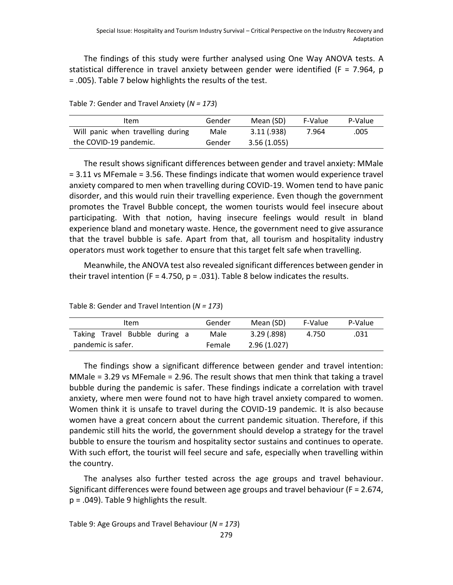The findings of this study were further analysed using One Way ANOVA tests. A statistical difference in travel anxiety between gender were identified (F = 7.964, p = .005). Table 7 below highlights the results of the test.

Table 7: Gender and Travel Anxiety (*N = 173*)

| Item                              | Gender | Mean (SD)   | F-Value | P-Value |
|-----------------------------------|--------|-------------|---------|---------|
| Will panic when travelling during | Male   | 3.11(.938)  | 7.964   | .005    |
| the COVID-19 pandemic.            | Gender | 3.56(1.055) |         |         |

The result shows significant differences between gender and travel anxiety: MMale = 3.11 vs MFemale = 3.56. These findings indicate that women would experience travel anxiety compared to men when travelling during COVID-19. Women tend to have panic disorder, and this would ruin their travelling experience. Even though the government promotes the Travel Bubble concept, the women tourists would feel insecure about participating. With that notion, having insecure feelings would result in bland experience bland and monetary waste. Hence, the government need to give assurance that the travel bubble is safe. Apart from that, all tourism and hospitality industry operators must work together to ensure that this target felt safe when travelling.

Meanwhile, the ANOVA test also revealed significant differences between gender in their travel intention (F = 4.750,  $p = .031$ ). Table 8 below indicates the results.

Table 8: Gender and Travel Intention (*N = 173*)

| Item                          | Gender | Mean (SD)   | F-Value | P-Value |
|-------------------------------|--------|-------------|---------|---------|
| Taking Travel Bubble during a | Male   | 3.29(0.898) | 4.750   | .031    |
| pandemic is safer.            | Female | 2.96(1.027) |         |         |

The findings show a significant difference between gender and travel intention: MMale  $=$  3.29 vs MFemale  $=$  2.96. The result shows that men think that taking a travel bubble during the pandemic is safer. These findings indicate a correlation with travel anxiety, where men were found not to have high travel anxiety compared to women. Women think it is unsafe to travel during the COVID-19 pandemic. It is also because women have a great concern about the current pandemic situation. Therefore, if this pandemic still hits the world, the government should develop a strategy for the travel bubble to ensure the tourism and hospitality sector sustains and continues to operate. With such effort, the tourist will feel secure and safe, especially when travelling within the country.

The analyses also further tested across the age groups and travel behaviour. Significant differences were found between age groups and travel behaviour (F = 2.674, p = .049). Table 9 highlights the result.

Table 9: Age Groups and Travel Behaviour (*N = 173*)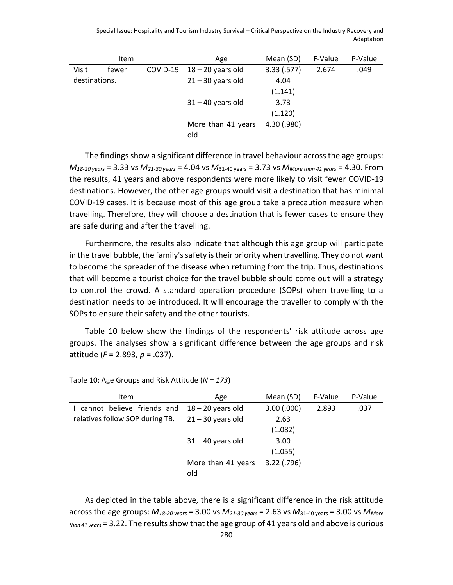Special Issue: Hospitality and Tourism Industry Survival – Critical Perspective on the Industry Recovery and Adaptation

|               | <b>Item</b> |          | Age                 | Mean (SD)   | F-Value | P-Value |
|---------------|-------------|----------|---------------------|-------------|---------|---------|
| Visit         | fewer       | COVID-19 | $18 - 20$ years old | 3.33(.577)  | 2.674   | .049    |
| destinations. |             |          | $21 - 30$ years old | 4.04        |         |         |
|               |             |          |                     | (1.141)     |         |         |
|               |             |          | $31 - 40$ years old | 3.73        |         |         |
|               |             |          |                     | (1.120)     |         |         |
|               |             |          | More than 41 years  | 4.30 (.980) |         |         |
|               |             |          | old                 |             |         |         |

The findings show a significant difference in travel behaviour across the age groups: *M18-20 years* = 3.33 vs *M21-30 years* = 4.04 vs *M*31-40 years = 3.73 vs *MMore than 41 years* = 4.30. From the results, 41 years and above respondents were more likely to visit fewer COVID-19 destinations. However, the other age groups would visit a destination that has minimal COVID-19 cases. It is because most of this age group take a precaution measure when travelling. Therefore, they will choose a destination that is fewer cases to ensure they are safe during and after the travelling.

Furthermore, the results also indicate that although this age group will participate in the travel bubble, the family's safety is their priority when travelling. They do not want to become the spreader of the disease when returning from the trip. Thus, destinations that will become a tourist choice for the travel bubble should come out will a strategy to control the crowd. A standard operation procedure (SOPs) when travelling to a destination needs to be introduced. It will encourage the traveller to comply with the SOPs to ensure their safety and the other tourists.

Table 10 below show the findings of the respondents' risk attitude across age groups. The analyses show a significant difference between the age groups and risk attitude (*F* = 2.893, *p* = .037).

| <b>Item</b>                     | Age                 | Mean (SD)       | F-Value | P-Value |
|---------------------------------|---------------------|-----------------|---------|---------|
| cannot believe friends and      | $18 - 20$ years old | $3.00$ $(.000)$ | 2.893   | .037    |
| relatives follow SOP during TB. | $21 - 30$ years old | 2.63            |         |         |
|                                 |                     | (1.082)         |         |         |
|                                 | $31 - 40$ years old | 3.00            |         |         |
|                                 |                     | (1.055)         |         |         |
|                                 | More than 41 years  | $3.22$ (.796)   |         |         |
|                                 | old                 |                 |         |         |

Table 10: Age Groups and Risk Attitude (*N = 173*)

As depicted in the table above, there is a significant difference in the risk attitude across the age groups: *M18-20 years* = 3.00 vs *M21-30 years* = 2.63 vs *M*31-40 years = 3.00 vs *MMore than 41 years* = 3.22. The results show that the age group of 41 years old and above is curious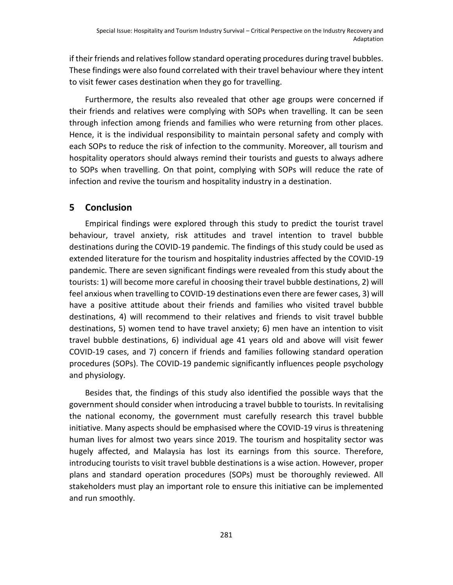if their friends and relatives follow standard operating procedures during travel bubbles. These findings were also found correlated with their travel behaviour where they intent to visit fewer cases destination when they go for travelling.

Furthermore, the results also revealed that other age groups were concerned if their friends and relatives were complying with SOPs when travelling. It can be seen through infection among friends and families who were returning from other places. Hence, it is the individual responsibility to maintain personal safety and comply with each SOPs to reduce the risk of infection to the community. Moreover, all tourism and hospitality operators should always remind their tourists and guests to always adhere to SOPs when travelling. On that point, complying with SOPs will reduce the rate of infection and revive the tourism and hospitality industry in a destination.

#### **5 Conclusion**

Empirical findings were explored through this study to predict the tourist travel behaviour, travel anxiety, risk attitudes and travel intention to travel bubble destinations during the COVID-19 pandemic. The findings of this study could be used as extended literature for the tourism and hospitality industries affected by the COVID-19 pandemic. There are seven significant findings were revealed from this study about the tourists: 1) will become more careful in choosing their travel bubble destinations, 2) will feel anxious when travelling to COVID-19 destinations even there are fewer cases, 3) will have a positive attitude about their friends and families who visited travel bubble destinations, 4) will recommend to their relatives and friends to visit travel bubble destinations, 5) women tend to have travel anxiety; 6) men have an intention to visit travel bubble destinations, 6) individual age 41 years old and above will visit fewer COVID-19 cases, and 7) concern if friends and families following standard operation procedures (SOPs). The COVID-19 pandemic significantly influences people psychology and physiology.

Besides that, the findings of this study also identified the possible ways that the government should consider when introducing a travel bubble to tourists. In revitalising the national economy, the government must carefully research this travel bubble initiative. Many aspects should be emphasised where the COVID-19 virus is threatening human lives for almost two years since 2019. The tourism and hospitality sector was hugely affected, and Malaysia has lost its earnings from this source. Therefore, introducing tourists to visit travel bubble destinations is a wise action. However, proper plans and standard operation procedures (SOPs) must be thoroughly reviewed. All stakeholders must play an important role to ensure this initiative can be implemented and run smoothly.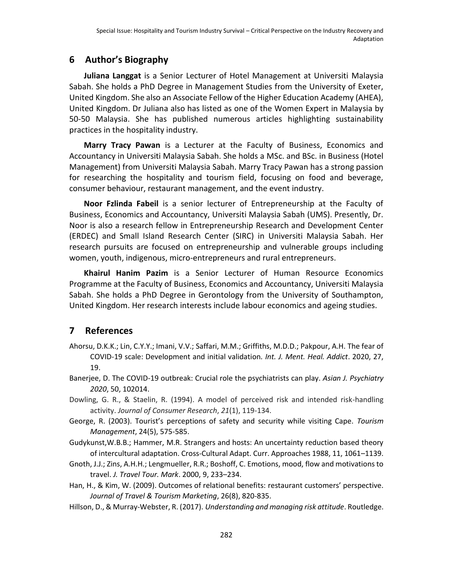## **6 Author's Biography**

**Juliana Langgat** is a Senior Lecturer of Hotel Management at Universiti Malaysia Sabah. She holds a PhD Degree in Management Studies from the University of Exeter, United Kingdom. She also an Associate Fellow of the Higher Education Academy (AHEA), United Kingdom. Dr Juliana also has listed as one of the Women Expert in Malaysia by 50-50 Malaysia. She has published numerous articles highlighting sustainability practices in the hospitality industry.

**Marry Tracy Pawan** is a Lecturer at the Faculty of Business, Economics and Accountancy in Universiti Malaysia Sabah. She holds a MSc. and BSc. in Business (Hotel Management) from Universiti Malaysia Sabah. Marry Tracy Pawan has a strong passion for researching the hospitality and tourism field, focusing on food and beverage, consumer behaviour, restaurant management, and the event industry.

**Noor Fzlinda Fabeil** is a senior lecturer of Entrepreneurship at the Faculty of Business, Economics and Accountancy, Universiti Malaysia Sabah (UMS). Presently, Dr. Noor is also a research fellow in Entrepreneurship Research and Development Center (ERDEC) and Small Island Research Center (SIRC) in Universiti Malaysia Sabah. Her research pursuits are focused on entrepreneurship and vulnerable groups including women, youth, indigenous, micro-entrepreneurs and rural entrepreneurs.

**Khairul Hanim Pazim** is a Senior Lecturer of Human Resource Economics Programme at the Faculty of Business, Economics and Accountancy, Universiti Malaysia Sabah. She holds a PhD Degree in Gerontology from the University of Southampton, United Kingdom. Her research interests include labour economics and ageing studies.

# **7 References**

- Ahorsu, D.K.K.; Lin, C.Y.Y.; Imani, V.V.; Saffari, M.M.; Griffiths, M.D.D.; Pakpour, A.H. The fear of COVID-19 scale: Development and initial validation*. Int. J. Ment. Heal. Addict*. 2020, 27, 19.
- Banerjee, D. The COVID-19 outbreak: Crucial role the psychiatrists can play. *Asian J. Psychiatry 2020*, 50, 102014.
- Dowling, G. R., & Staelin, R. (1994). A model of perceived risk and intended risk-handling activity. *Journal of Consumer Research*, *21*(1), 119-134.
- George, R. (2003). Tourist's perceptions of safety and security while visiting Cape. *Tourism Management*, 24(5), 575-585.
- Gudykunst,W.B.B.; Hammer, M.R. Strangers and hosts: An uncertainty reduction based theory of intercultural adaptation. Cross-Cultural Adapt. Curr. Approaches 1988, 11, 1061–1139.
- Gnoth, J.J.; Zins, A.H.H.; Lengmueller, R.R.; Boshoff, C. Emotions, mood, flow and motivations to travel. *J. Travel Tour. Mark*. 2000, 9, 233–234.
- Han, H., & Kim, W. (2009). Outcomes of relational benefits: restaurant customers' perspective. *Journal of Travel & Tourism Marketing*, 26(8), 820-835.
- Hillson, D., & Murray-Webster, R. (2017). *Understanding and managing risk attitude*. Routledge.